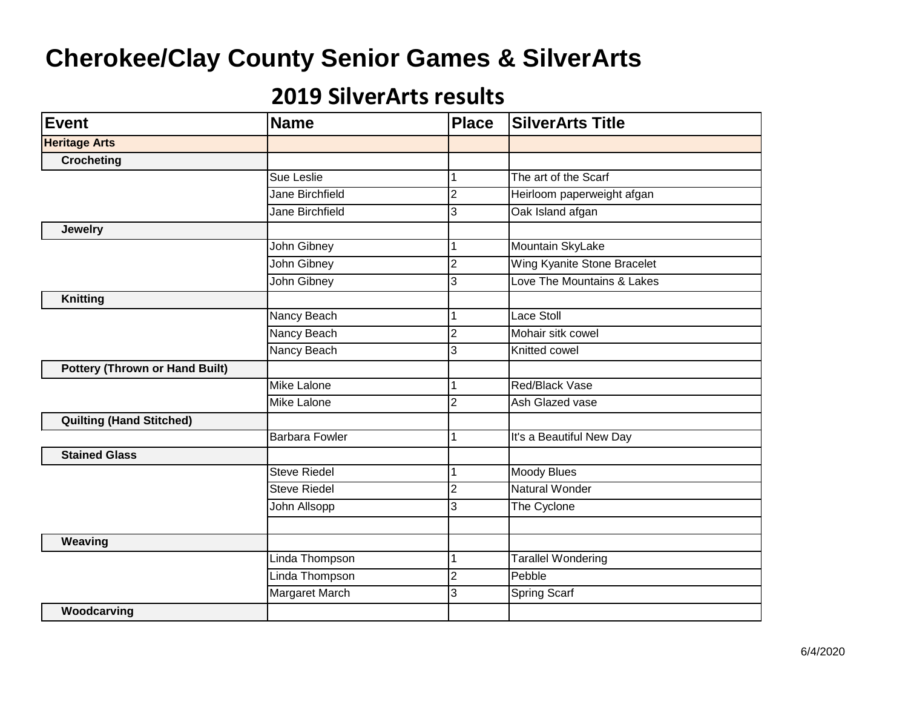| <b>Name</b>            | <b>Place</b>   | <b>SilverArts Title</b>     |
|------------------------|----------------|-----------------------------|
|                        |                |                             |
|                        |                |                             |
| Sue Leslie             | 1              | The art of the Scarf        |
| Jane Birchfield        | $\overline{2}$ | Heirloom paperweight afgan  |
| <b>Jane Birchfield</b> | 3              | Oak Island afgan            |
|                        |                |                             |
| John Gibney            | 1              | Mountain SkyLake            |
| John Gibney            | $\overline{2}$ | Wing Kyanite Stone Bracelet |
| John Gibney            | 3              | Love The Mountains & Lakes  |
|                        |                |                             |
| Nancy Beach            | 1              | <b>Lace Stoll</b>           |
| Nancy Beach            | $\overline{2}$ | Mohair sitk cowel           |
| Nancy Beach            | 3              | Knitted cowel               |
|                        |                |                             |
| <b>Mike Lalone</b>     | 1              | Red/Black Vase              |
| <b>Mike Lalone</b>     | $\overline{2}$ | Ash Glazed vase             |
|                        |                |                             |
| <b>Barbara Fowler</b>  | 1              | It's a Beautiful New Day    |
|                        |                |                             |
| <b>Steve Riedel</b>    | 1              | <b>Moody Blues</b>          |
| <b>Steve Riedel</b>    | $\overline{2}$ | <b>Natural Wonder</b>       |
| John Allsopp           | 3              | The Cyclone                 |
|                        |                |                             |
|                        |                |                             |
| Linda Thompson         | 1              | <b>Tarallel Wondering</b>   |
| Linda Thompson         | $\overline{2}$ | Pebble                      |
| <b>Margaret March</b>  | 3              | <b>Spring Scarf</b>         |
|                        |                |                             |
|                        |                |                             |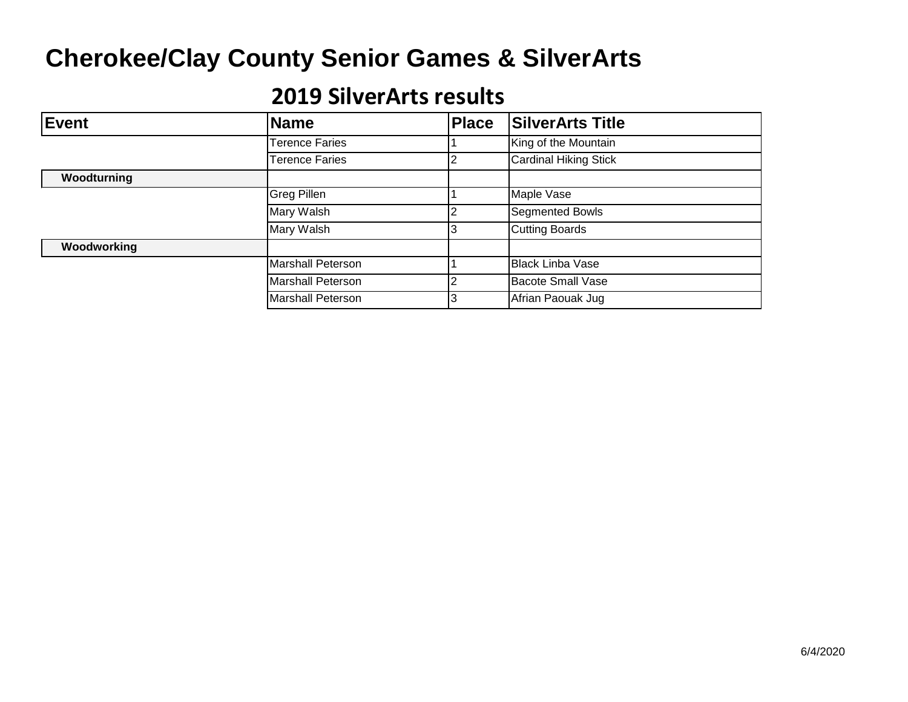| Event       | <b>Name</b>           | <b>Place</b> | <b>SilverArts Title</b>      |
|-------------|-----------------------|--------------|------------------------------|
|             | <b>Terence Faries</b> |              | King of the Mountain         |
|             | <b>Terence Faries</b> |              | <b>Cardinal Hiking Stick</b> |
| Woodturning |                       |              |                              |
|             | <b>Greg Pillen</b>    |              | Maple Vase                   |
|             | Mary Walsh            |              | <b>Segmented Bowls</b>       |
|             | Mary Walsh            |              | <b>Cutting Boards</b>        |
| Woodworking |                       |              |                              |
|             | Marshall Peterson     |              | <b>Black Linba Vase</b>      |
|             | Marshall Peterson     |              | <b>Bacote Small Vase</b>     |
|             | Marshall Peterson     |              | Afrian Paouak Jug            |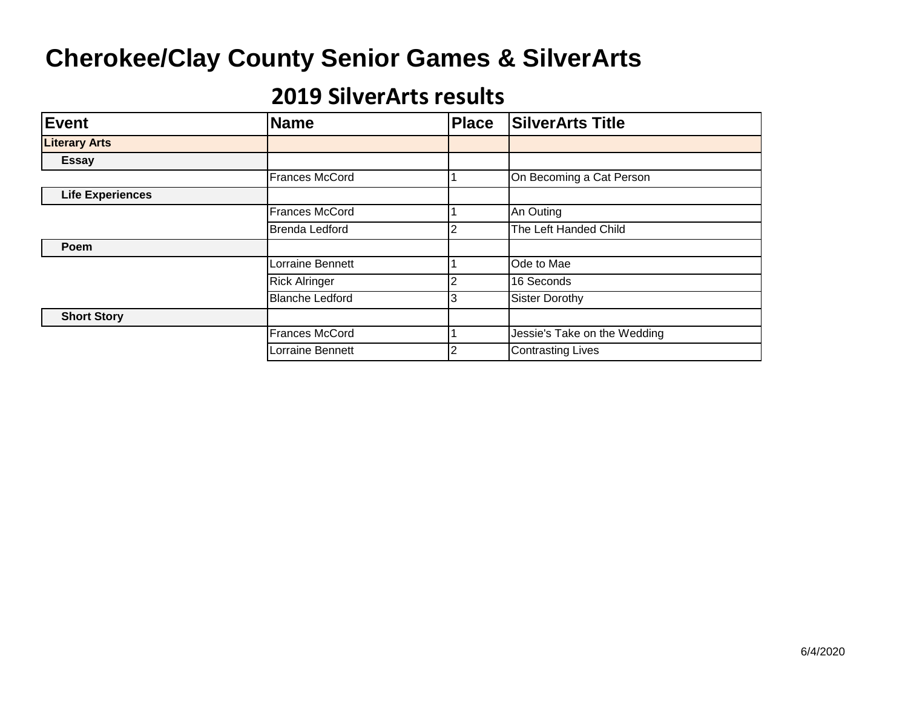| <b>Event</b>            | <b>Name</b>            | <b>Place</b> | <b>SilverArts Title</b>      |
|-------------------------|------------------------|--------------|------------------------------|
| <b>Literary Arts</b>    |                        |              |                              |
| <b>Essay</b>            |                        |              |                              |
|                         | <b>Frances McCord</b>  |              | On Becoming a Cat Person     |
| <b>Life Experiences</b> |                        |              |                              |
|                         | Frances McCord         |              | An Outing                    |
|                         | <b>Brenda Ledford</b>  |              | The Left Handed Child        |
| Poem                    |                        |              |                              |
|                         | Lorraine Bennett       |              | Ode to Mae                   |
|                         | <b>Rick Alringer</b>   |              | 16 Seconds                   |
|                         | <b>Blanche Ledford</b> |              | <b>Sister Dorothy</b>        |
| <b>Short Story</b>      |                        |              |                              |
|                         | <b>Frances McCord</b>  |              | Jessie's Take on the Wedding |
|                         | Lorraine Bennett       |              | <b>Contrasting Lives</b>     |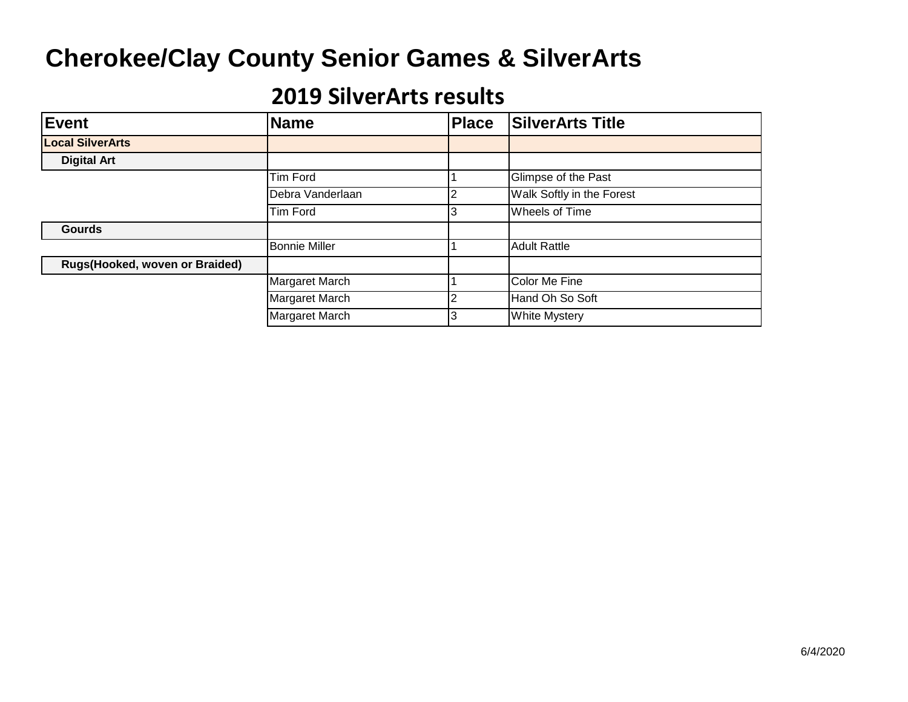| <b>Event</b>                   | <b>Name</b>          | <b>Place</b> | <b>SilverArts Title</b>   |
|--------------------------------|----------------------|--------------|---------------------------|
| <b>Local SilverArts</b>        |                      |              |                           |
| <b>Digital Art</b>             |                      |              |                           |
|                                | Tim Ford             |              | Glimpse of the Past       |
|                                | Debra Vanderlaan     |              | Walk Softly in the Forest |
|                                | Tim Ford             |              | Wheels of Time            |
| <b>Gourds</b>                  |                      |              |                           |
|                                | <b>Bonnie Miller</b> |              | <b>Adult Rattle</b>       |
| Rugs(Hooked, woven or Braided) |                      |              |                           |
|                                | Margaret March       |              | Color Me Fine             |
|                                | Margaret March       |              | Hand Oh So Soft           |
|                                | Margaret March       |              | <b>White Mystery</b>      |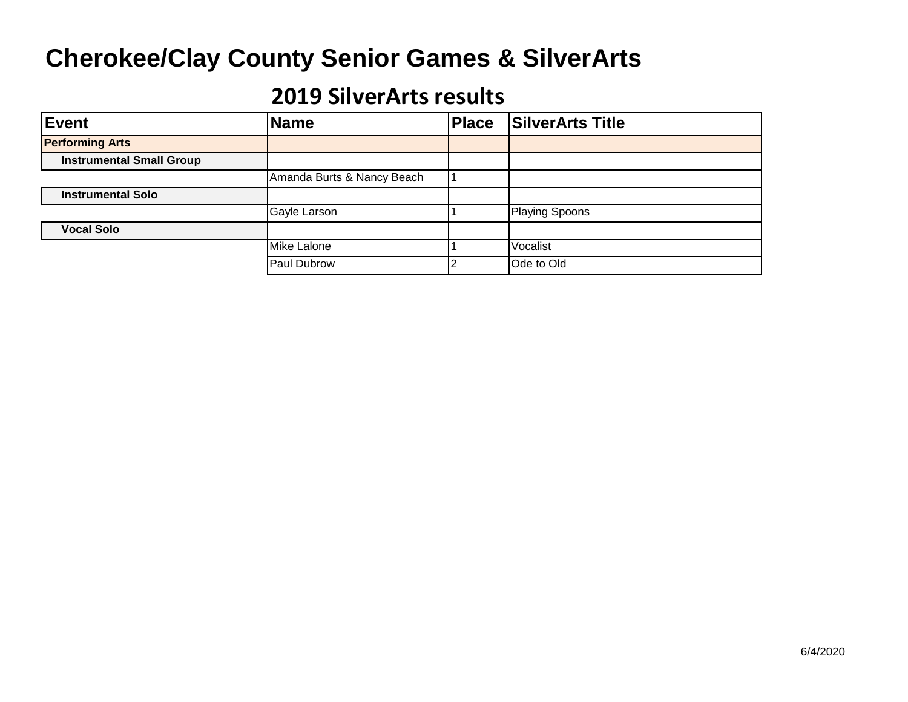| Event                           | <b>Name</b>                | <b>Place</b> | <b>SilverArts Title</b> |
|---------------------------------|----------------------------|--------------|-------------------------|
| <b>Performing Arts</b>          |                            |              |                         |
| <b>Instrumental Small Group</b> |                            |              |                         |
|                                 | Amanda Burts & Nancy Beach |              |                         |
| <b>Instrumental Solo</b>        |                            |              |                         |
|                                 | Gayle Larson               |              | <b>Playing Spoons</b>   |
| <b>Vocal Solo</b>               |                            |              |                         |
|                                 | Mike Lalone                |              | Vocalist                |
|                                 | Paul Dubrow                |              | Ode to Old              |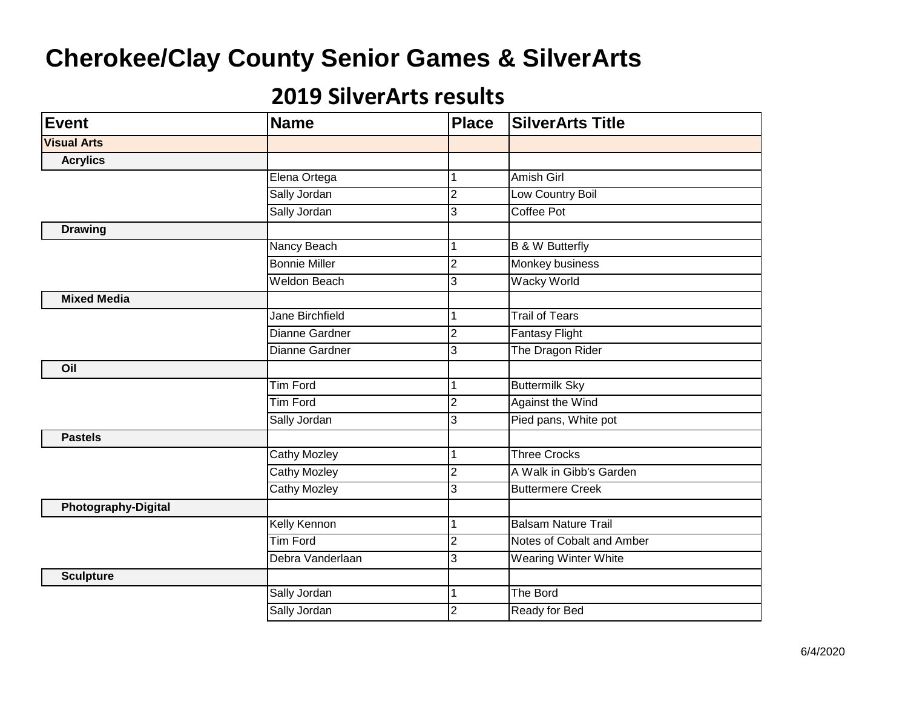| <b>Event</b>               | <b>Name</b>            | <b>Place</b>   | <b>SilverArts Title</b>    |
|----------------------------|------------------------|----------------|----------------------------|
| <b>Visual Arts</b>         |                        |                |                            |
| <b>Acrylics</b>            |                        |                |                            |
|                            | Elena Ortega           |                | Amish Girl                 |
|                            | Sally Jordan           | $\overline{2}$ | Low Country Boil           |
|                            | Sally Jordan           | 3              | <b>Coffee Pot</b>          |
| <b>Drawing</b>             |                        |                |                            |
|                            | Nancy Beach            | 1              | <b>B &amp; W Butterfly</b> |
|                            | <b>Bonnie Miller</b>   | $\overline{2}$ | <b>Monkey business</b>     |
|                            | <b>Weldon Beach</b>    | 3              | <b>Wacky World</b>         |
| <b>Mixed Media</b>         |                        |                |                            |
|                            | <b>Jane Birchfield</b> |                | <b>Trail of Tears</b>      |
|                            | Dianne Gardner         | $\overline{c}$ | <b>Fantasy Flight</b>      |
|                            | Dianne Gardner         | 3              | The Dragon Rider           |
| Oil                        |                        |                |                            |
|                            | <b>Tim Ford</b>        |                | <b>Buttermilk Sky</b>      |
|                            | <b>Tim Ford</b>        | $\overline{2}$ | <b>Against the Wind</b>    |
|                            | Sally Jordan           | 3              | Pied pans, White pot       |
| <b>Pastels</b>             |                        |                |                            |
|                            | <b>Cathy Mozley</b>    |                | <b>Three Crocks</b>        |
|                            | <b>Cathy Mozley</b>    | $\overline{2}$ | A Walk in Gibb's Garden    |
|                            | <b>Cathy Mozley</b>    | 3              | <b>Buttermere Creek</b>    |
| <b>Photography-Digital</b> |                        |                |                            |
|                            | <b>Kelly Kennon</b>    |                | <b>Balsam Nature Trail</b> |
|                            | <b>Tim Ford</b>        | $\overline{2}$ | Notes of Cobalt and Amber  |
|                            | Debra Vanderlaan       | 3              | Wearing Winter White       |
| <b>Sculpture</b>           |                        |                |                            |
|                            | Sally Jordan           | 1              | The Bord                   |
|                            | Sally Jordan           | $\overline{c}$ | Ready for Bed              |